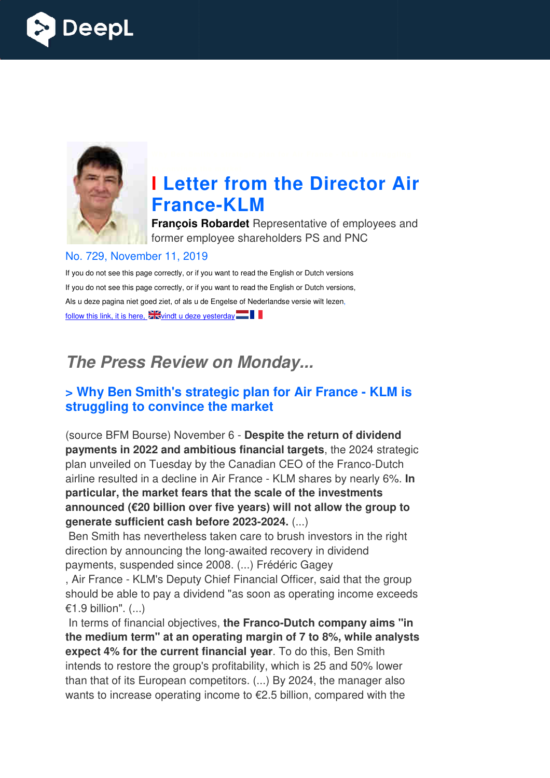



# **I Letter from the Director Air France France-KLM**

**François Robardet** Representative of employees and former employee shareholders PS and PNC

#### No. 729, November 11, 2019

If you do not see this page correctly, or if you want to read the English or Dutch versions If you do not see this page correctly, or if you want to read the English or Dutch versions, Als u deze pagina niet goed ziet, of als u de Engelse of Nederlandse versie wilt lezen, follow this link, it is here,  $\sum_{n=1}^{\infty}$  vindt u deze yesterday

### *The Press Review on Monday...*

### **> Why Ben Smith's strategic plan for Air France - KLM is struggling to convince the market**

(source BFM Bourse) November 6 - **Despite the return of dividend payments in 2022 and ambitious financial targets** , the 2024 strategic plan unveiled on Tuesday by the Canadian CEO of the Franco-Dutch airline resulted in a decline in Air France - KLM shares by nearly 6%. **In particular, the market fears that the scale of the investments**  announced (€20 billion over five years) will not allow the group to **generate sufficient cash before 2023 2023-2024.** (...)

Ben Smith has nevertheless taken care to brush investors in the right direction by announcing the long-awaited recovery in dividend payments, suspended since 2008. (...) F Frédéric Gagey

, Air France - KLM's Deputy Chief Financial Officer, said that the group should be able to pay a dividend "as soon as operating income exceeds €1.9 billion". (...)

In terms of financial objectives, the Franco-Dutch company aims "in **the medium term" at an operating margin of 7 to 8%, while analysts m expect 4% for the current financial year** . To do this, Ben Smith intends to restore the group's profitability, which is 25 and 50% lower than that of its European competitors. (...) By 2024, the manager also wants to increase operating income to €2.5 billion, compared with the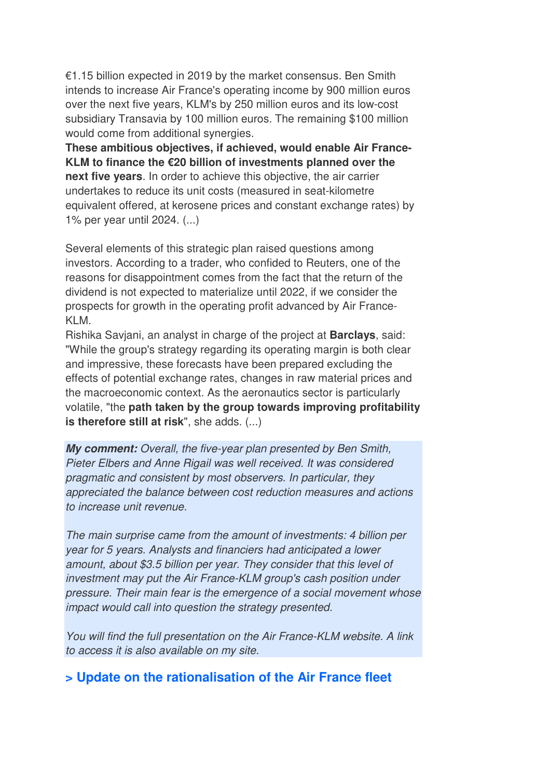€1.15 billion expected in 2019 by the market consensus. Ben Smith intends to increase Air France's operating income by 900 million euros over the next five years, KLM's by 250 million euros and its low-cost subsidiary Transavia by 100 million euros. The remaining \$100 million would come from additional synergies.

**These ambitious objectives, if achieved, would enable Air France-KLM to finance the €20 billion of investments planned over the next five years**. In order to achieve this objective, the air carrier undertakes to reduce its unit costs (measured in seat-kilometre equivalent offered, at kerosene prices and constant exchange rates) by 1% per year until 2024. (...)

Several elements of this strategic plan raised questions among investors. According to a trader, who confided to Reuters, one of the reasons for disappointment comes from the fact that the return of the dividend is not expected to materialize until 2022, if we consider the prospects for growth in the operating profit advanced by Air France-KLM.

Rishika Savjani, an analyst in charge of the project at **Barclays**, said: "While the group's strategy regarding its operating margin is both clear and impressive, these forecasts have been prepared excluding the effects of potential exchange rates, changes in raw material prices and the macroeconomic context. As the aeronautics sector is particularly volatile, "the **path taken by the group towards improving profitability is therefore still at risk**", she adds. (...)

*My comment:* Overall, the five-year plan presented by Ben Smith, Pieter Elbers and Anne Rigail was well received. It was considered pragmatic and consistent by most observers. In particular, they appreciated the balance between cost reduction measures and actions to increase unit revenue.

The main surprise came from the amount of investments: 4 billion per year for 5 years. Analysts and financiers had anticipated a lower amount, about \$3.5 billion per year. They consider that this level of investment may put the Air France-KLM group's cash position under pressure. Their main fear is the emergence of a social movement whose impact would call into question the strategy presented.

You will find the full presentation on the Air France-KLM website. A link to access it is also available on my site.

### **> Update on the rationalisation of the Air France fleet**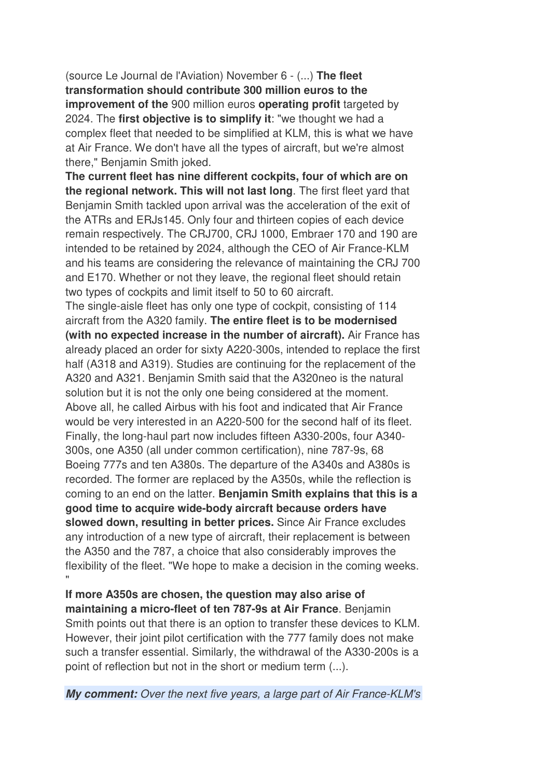(source Le Journal de l'Aviation) November 6 - (...) **The fleet transformation should contribute 300 million euros to the improvement of the** 900 million euros **operating profit** targeted by 2024. The **first objective is to simplify it**: "we thought we had a complex fleet that needed to be simplified at KLM, this is what we have at Air France. We don't have all the types of aircraft, but we're almost there," Benjamin Smith joked.

**The current fleet has nine different cockpits, four of which are on the regional network. This will not last long**. The first fleet yard that Benjamin Smith tackled upon arrival was the acceleration of the exit of the ATRs and ERJs145. Only four and thirteen copies of each device remain respectively. The CRJ700, CRJ 1000, Embraer 170 and 190 are intended to be retained by 2024, although the CEO of Air France-KLM and his teams are considering the relevance of maintaining the CRJ 700 and E170. Whether or not they leave, the regional fleet should retain two types of cockpits and limit itself to 50 to 60 aircraft.

The single-aisle fleet has only one type of cockpit, consisting of 114 aircraft from the A320 family. **The entire fleet is to be modernised (with no expected increase in the number of aircraft).** Air France has already placed an order for sixty A220-300s, intended to replace the first half (A318 and A319). Studies are continuing for the replacement of the A320 and A321. Benjamin Smith said that the A320neo is the natural solution but it is not the only one being considered at the moment. Above all, he called Airbus with his foot and indicated that Air France would be very interested in an A220-500 for the second half of its fleet. Finally, the long-haul part now includes fifteen A330-200s, four A340- 300s, one A350 (all under common certification), nine 787-9s, 68 Boeing 777s and ten A380s. The departure of the A340s and A380s is recorded. The former are replaced by the A350s, while the reflection is coming to an end on the latter. **Benjamin Smith explains that this is a good time to acquire wide-body aircraft because orders have slowed down, resulting in better prices.** Since Air France excludes any introduction of a new type of aircraft, their replacement is between the A350 and the 787, a choice that also considerably improves the flexibility of the fleet. "We hope to make a decision in the coming weeks. "

**If more A350s are chosen, the question may also arise of maintaining a micro-fleet of ten 787-9s at Air France**. Benjamin Smith points out that there is an option to transfer these devices to KLM. However, their joint pilot certification with the 777 family does not make such a transfer essential. Similarly, the withdrawal of the A330-200s is a point of reflection but not in the short or medium term (...).

*My comment:* Over the next five years, a large part of Air France-KLM's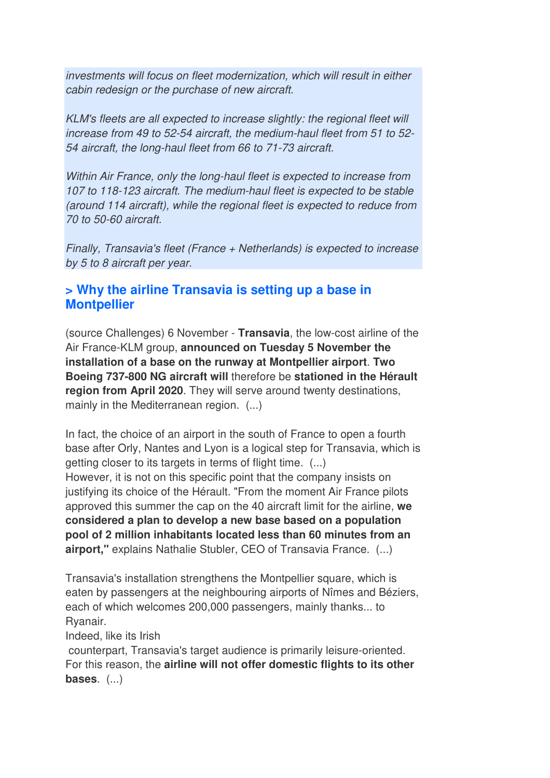investments will focus on fleet modernization, which will result in either cabin redesign or the purchase of new aircraft.

KLM's fleets are all expected to increase slightly: the regional fleet will increase from 49 to 52-54 aircraft, the medium-haul fleet from 51 to 52- 54 aircraft, the long-haul fleet from 66 to 71-73 aircraft.

Within Air France, only the long-haul fleet is expected to increase from 107 to 118-123 aircraft. The medium-haul fleet is expected to be stable (around 114 aircraft), while the regional fleet is expected to reduce from 70 to 50-60 aircraft.

Finally, Transavia's fleet (France + Netherlands) is expected to increase by 5 to 8 aircraft per year.

### **> Why the airline Transavia is setting up a base in Montpellier**

(source Challenges) 6 November - **Transavia**, the low-cost airline of the Air France-KLM group, **announced on Tuesday 5 November the installation of a base on the runway at Montpellier airport**. **Two Boeing 737-800 NG aircraft will** therefore be **stationed in the Hérault region from April 2020**. They will serve around twenty destinations, mainly in the Mediterranean region. (...)

In fact, the choice of an airport in the south of France to open a fourth base after Orly, Nantes and Lyon is a logical step for Transavia, which is getting closer to its targets in terms of flight time. (...) However, it is not on this specific point that the company insists on justifying its choice of the Hérault. "From the moment Air France pilots approved this summer the cap on the 40 aircraft limit for the airline, **we considered a plan to develop a new base based on a population pool of 2 million inhabitants located less than 60 minutes from an airport,"** explains Nathalie Stubler, CEO of Transavia France. (...)

Transavia's installation strengthens the Montpellier square, which is eaten by passengers at the neighbouring airports of Nîmes and Béziers, each of which welcomes 200,000 passengers, mainly thanks... to Ryanair.

Indeed, like its Irish

 counterpart, Transavia's target audience is primarily leisure-oriented. For this reason, the **airline will not offer domestic flights to its other bases**. (...)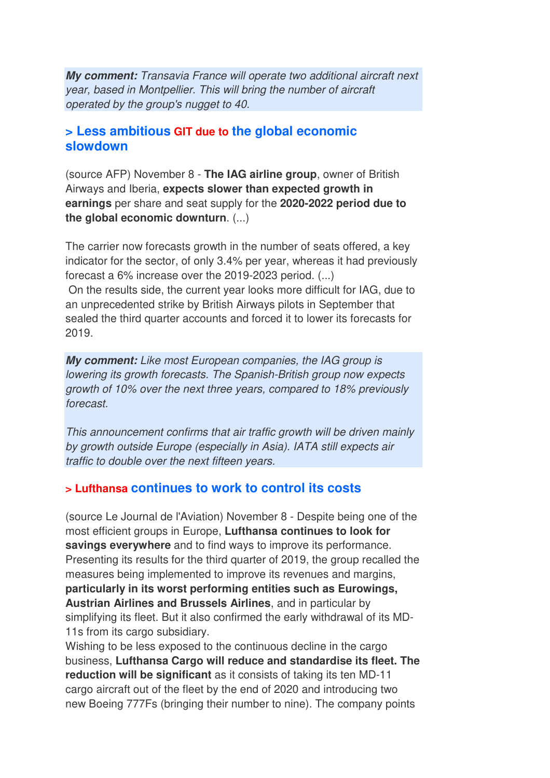*My comment:* Transavia France will operate two additional aircraft next year, based in Montpellier. This will bring the number of aircraft operated by the group's nugget to 40.

### **> Less ambitious GIT due to the global economic slowdown**

(source AFP) November 8 - **The IAG airline group**, owner of British Airways and Iberia, **expects slower than expected growth in earnings** per share and seat supply for the **2020-2022 period due to the global economic downturn**. (...)

The carrier now forecasts growth in the number of seats offered, a key indicator for the sector, of only 3.4% per year, whereas it had previously forecast a 6% increase over the 2019-2023 period. (...)

 On the results side, the current year looks more difficult for IAG, due to an unprecedented strike by British Airways pilots in September that sealed the third quarter accounts and forced it to lower its forecasts for 2019.

*My comment:* Like most European companies, the IAG group is lowering its growth forecasts. The Spanish-British group now expects growth of 10% over the next three years, compared to 18% previously forecast.

This announcement confirms that air traffic growth will be driven mainly by growth outside Europe (especially in Asia). IATA still expects air traffic to double over the next fifteen years.

### **> Lufthansa continues to work to control its costs**

(source Le Journal de l'Aviation) November 8 - Despite being one of the most efficient groups in Europe, **Lufthansa continues to look for savings everywhere** and to find ways to improve its performance. Presenting its results for the third quarter of 2019, the group recalled the measures being implemented to improve its revenues and margins, **particularly in its worst performing entities such as Eurowings, Austrian Airlines and Brussels Airlines**, and in particular by simplifying its fleet. But it also confirmed the early withdrawal of its MD-11s from its cargo subsidiary.

Wishing to be less exposed to the continuous decline in the cargo business, **Lufthansa Cargo will reduce and standardise its fleet. The reduction will be significant** as it consists of taking its ten MD-11 cargo aircraft out of the fleet by the end of 2020 and introducing two new Boeing 777Fs (bringing their number to nine). The company points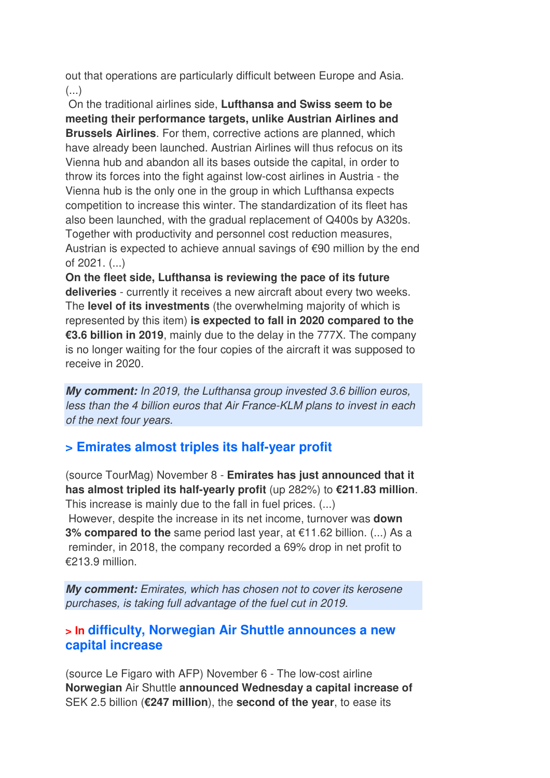out that operations are particularly difficult between Europe and Asia.  $($ ...)

 On the traditional airlines side, **Lufthansa and Swiss seem to be meeting their performance targets, unlike Austrian Airlines and Brussels Airlines**. For them, corrective actions are planned, which have already been launched. Austrian Airlines will thus refocus on its Vienna hub and abandon all its bases outside the capital, in order to throw its forces into the fight against low-cost airlines in Austria - the Vienna hub is the only one in the group in which Lufthansa expects competition to increase this winter. The standardization of its fleet has also been launched, with the gradual replacement of Q400s by A320s. Together with productivity and personnel cost reduction measures, Austrian is expected to achieve annual savings of €90 million by the end of 2021. (...)

**On the fleet side, Lufthansa is reviewing the pace of its future deliveries** - currently it receives a new aircraft about every two weeks. The **level of its investments** (the overwhelming majority of which is represented by this item) **is expected to fall in 2020 compared to the €3.6 billion in 2019**, mainly due to the delay in the 777X. The company is no longer waiting for the four copies of the aircraft it was supposed to receive in 2020.

*My comment:* In 2019, the Lufthansa group invested 3.6 billion euros, less than the 4 billion euros that Air France-KLM plans to invest in each of the next four years.

### **> Emirates almost triples its half-year profit**

(source TourMag) November 8 - **Emirates has just announced that it has almost tripled its half-yearly profit** (up 282%) to **€211.83 million**. This increase is mainly due to the fall in fuel prices. (...) However, despite the increase in its net income, turnover was **down 3% compared to the** same period last year, at €11.62 billion. (...) As a reminder, in 2018, the company recorded a 69% drop in net profit to €213.9 million.

*My comment:* Emirates, which has chosen not to cover its kerosene purchases, is taking full advantage of the fuel cut in 2019.

### **> In difficulty, Norwegian Air Shuttle announces a new capital increase**

(source Le Figaro with AFP) November 6 - The low-cost airline **Norwegian** Air Shuttle **announced Wednesday a capital increase of** SEK 2.5 billion (**€247 million**), the **second of the year**, to ease its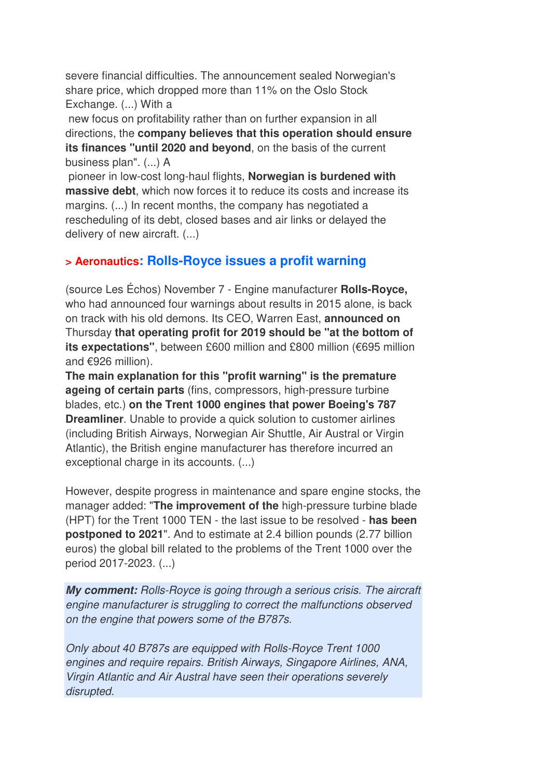severe financial difficulties. The announcement sealed Norwegian's share price, which dropped more than 11% on the Oslo Stock Exchange. (...) With a

 new focus on profitability rather than on further expansion in all directions, the **company believes that this operation should ensure its finances "until 2020 and beyond**, on the basis of the current business plan". (...) A

 pioneer in low-cost long-haul flights, **Norwegian is burdened with massive debt**, which now forces it to reduce its costs and increase its margins. (...) In recent months, the company has negotiated a rescheduling of its debt, closed bases and air links or delayed the delivery of new aircraft. (...)

### **> Aeronautics: Rolls-Royce issues a profit warning**

(source Les Échos) November 7 - Engine manufacturer **Rolls-Royce,** who had announced four warnings about results in 2015 alone, is back on track with his old demons. Its CEO, Warren East, **announced on**  Thursday **that operating profit for 2019 should be "at the bottom of its expectations"**, between £600 million and £800 million (€695 million and €926 million).

**The main explanation for this "profit warning" is the premature ageing of certain parts** (fins, compressors, high-pressure turbine blades, etc.) **on the Trent 1000 engines that power Boeing's 787 Dreamliner**. Unable to provide a quick solution to customer airlines (including British Airways, Norwegian Air Shuttle, Air Austral or Virgin Atlantic), the British engine manufacturer has therefore incurred an exceptional charge in its accounts. (...)

However, despite progress in maintenance and spare engine stocks, the manager added: "**The improvement of the** high-pressure turbine blade (HPT) for the Trent 1000 TEN - the last issue to be resolved - **has been postponed to 2021**". And to estimate at 2.4 billion pounds (2.77 billion euros) the global bill related to the problems of the Trent 1000 over the period 2017-2023. (...)

*My comment:* Rolls-Royce is going through a serious crisis. The aircraft engine manufacturer is struggling to correct the malfunctions observed on the engine that powers some of the B787s.

Only about 40 B787s are equipped with Rolls-Royce Trent 1000 engines and require repairs. British Airways, Singapore Airlines, ANA, Virgin Atlantic and Air Austral have seen their operations severely disrupted.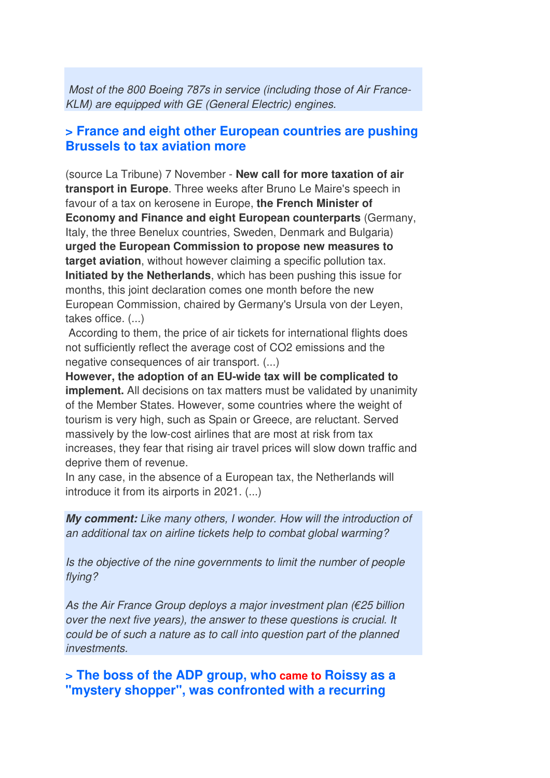Most of the 800 Boeing 787s in service (including those of Air France-KLM) are equipped with GE (General Electric) engines.

#### **> France and eight other European countries are pushing Brussels to tax aviation more**

(source La Tribune) 7 November - **New call for more taxation of air transport in Europe**. Three weeks after Bruno Le Maire's speech in favour of a tax on kerosene in Europe, **the French Minister of Economy and Finance and eight European counterparts** (Germany, Italy, the three Benelux countries, Sweden, Denmark and Bulgaria) **urged the European Commission to propose new measures to target aviation**, without however claiming a specific pollution tax. **Initiated by the Netherlands**, which has been pushing this issue for months, this joint declaration comes one month before the new European Commission, chaired by Germany's Ursula von der Leyen, takes office. (...)

 According to them, the price of air tickets for international flights does not sufficiently reflect the average cost of CO2 emissions and the negative consequences of air transport. (...)

**However, the adoption of an EU-wide tax will be complicated to implement.** All decisions on tax matters must be validated by unanimity of the Member States. However, some countries where the weight of tourism is very high, such as Spain or Greece, are reluctant. Served massively by the low-cost airlines that are most at risk from tax increases, they fear that rising air travel prices will slow down traffic and deprive them of revenue.

In any case, in the absence of a European tax, the Netherlands will introduce it from its airports in 2021. (...)

*My comment:* Like many others, I wonder. How will the introduction of an additional tax on airline tickets help to combat global warming?

Is the objective of the nine governments to limit the number of people flying?

As the Air France Group deploys a major investment plan (€25 billion over the next five years), the answer to these questions is crucial. It could be of such a nature as to call into question part of the planned investments.

**> The boss of the ADP group, who came to Roissy as a "mystery shopper", was confronted with a recurring**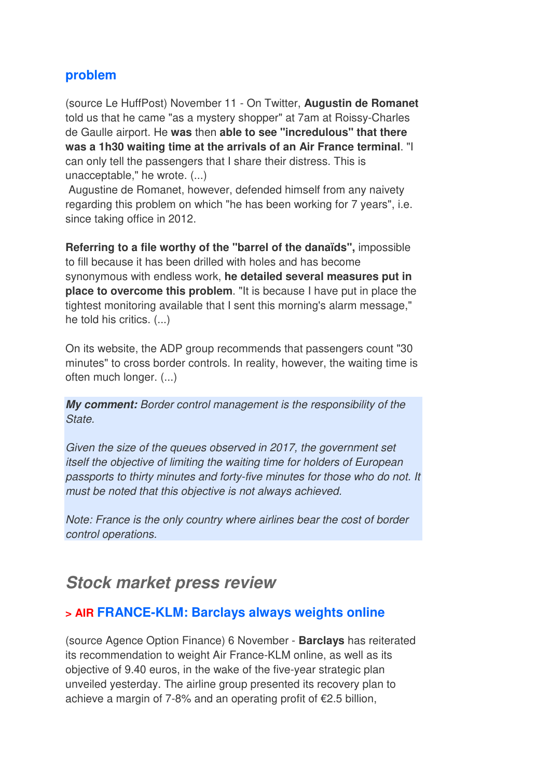### **problem**

(source Le HuffPost) November 11 - On Twitter, **Augustin de Romanet** told us that he came "as a mystery shopper" at 7am at Roissy-Charles de Gaulle airport. He **was** then **able to see "incredulous" that there was a 1h30 waiting time at the arrivals of an Air France terminal**. "I can only tell the passengers that I share their distress. This is unacceptable," he wrote. (...)

 Augustine de Romanet, however, defended himself from any naivety regarding this problem on which "he has been working for 7 years", i.e. since taking office in 2012.

**Referring to a file worthy of the "barrel of the danaïds",** impossible to fill because it has been drilled with holes and has become synonymous with endless work, **he detailed several measures put in place to overcome this problem**. "It is because I have put in place the tightest monitoring available that I sent this morning's alarm message," he told his critics. (...)

On its website, the ADP group recommends that passengers count "30 minutes" to cross border controls. In reality, however, the waiting time is often much longer. (...)

*My comment:* Border control management is the responsibility of the State.

Given the size of the queues observed in 2017, the government set itself the objective of limiting the waiting time for holders of European passports to thirty minutes and forty-five minutes for those who do not. It must be noted that this objective is not always achieved.

Note: France is the only country where airlines bear the cost of border control operations.

### *Stock market press review*

### **> AIR FRANCE-KLM: Barclays always weights online**

(source Agence Option Finance) 6 November - **Barclays** has reiterated its recommendation to weight Air France-KLM online, as well as its objective of 9.40 euros, in the wake of the five-year strategic plan unveiled yesterday. The airline group presented its recovery plan to achieve a margin of 7-8% and an operating profit of  $\epsilon$ 2.5 billion,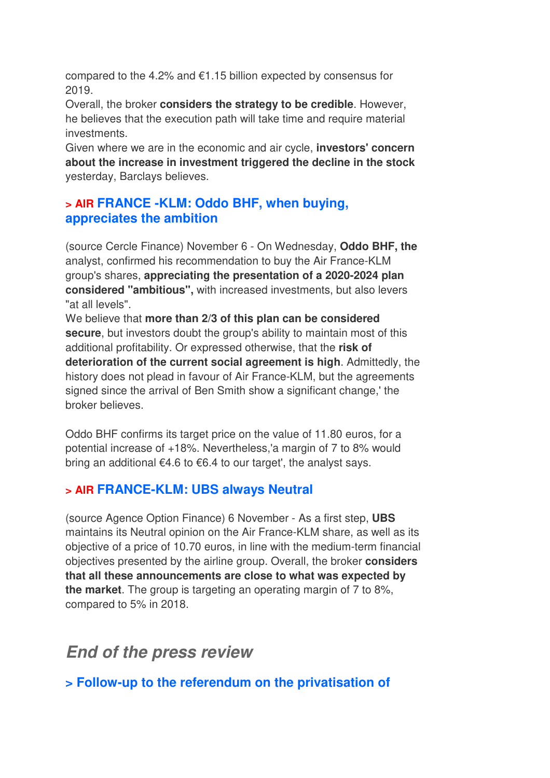compared to the 4.2% and €1.15 billion expected by consensus for 2019.

Overall, the broker **considers the strategy to be credible**. However, he believes that the execution path will take time and require material investments.

Given where we are in the economic and air cycle, **investors' concern about the increase in investment triggered the decline in the stock** yesterday, Barclays believes.

### **> AIR FRANCE -KLM: Oddo BHF, when buying, appreciates the ambition**

(source Cercle Finance) November 6 - On Wednesday, **Oddo BHF, the** analyst, confirmed his recommendation to buy the Air France-KLM group's shares, **appreciating the presentation of a 2020-2024 plan considered "ambitious",** with increased investments, but also levers "at all levels".

We believe that **more than 2/3 of this plan can be considered secure**, but investors doubt the group's ability to maintain most of this additional profitability. Or expressed otherwise, that the **risk of deterioration of the current social agreement is high**. Admittedly, the history does not plead in favour of Air France-KLM, but the agreements signed since the arrival of Ben Smith show a significant change,' the broker believes.

Oddo BHF confirms its target price on the value of 11.80 euros, for a potential increase of +18%. Nevertheless,'a margin of 7 to 8% would bring an additional €4.6 to €6.4 to our target', the analyst says.

### **> AIR FRANCE-KLM: UBS always Neutral**

(source Agence Option Finance) 6 November - As a first step, **UBS** maintains its Neutral opinion on the Air France-KLM share, as well as its objective of a price of 10.70 euros, in line with the medium-term financial objectives presented by the airline group. Overall, the broker **considers that all these announcements are close to what was expected by the market**. The group is targeting an operating margin of 7 to 8%, compared to 5% in 2018.

## *End of the press review*

**> Follow-up to the referendum on the privatisation of**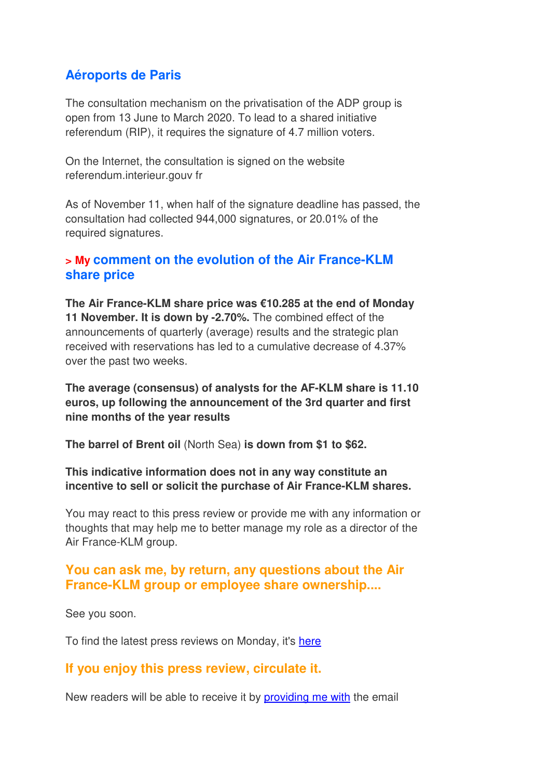### **Aéroports de Paris**

The consultation mechanism on the privatisation of the ADP group is open from 13 June to March 2020. To lead to a shared initiative referendum (RIP), it requires the signature of 4.7 million voters.

On the Internet, the consultation is signed on the website referendum.interieur.gouv fr

As of November 11, when half of the signature deadline has passed, the consultation had collected 944,000 signatures, or 20.01% of the required signatures.

#### **> My comment on the evolution of the Air France-KLM share price**

**The Air France-KLM share price was €10.285 at the end of Monday 11 November. It is down by -2.70%.** The combined effect of the announcements of quarterly (average) results and the strategic plan received with reservations has led to a cumulative decrease of 4.37% over the past two weeks.

**The average (consensus) of analysts for the AF-KLM share is 11.10 euros, up following the announcement of the 3rd quarter and first nine months of the year results**

**The barrel of Brent oil** (North Sea) **is down from \$1 to \$62.**

**This indicative information does not in any way constitute an incentive to sell or solicit the purchase of Air France-KLM shares.**

You may react to this press review or provide me with any information or thoughts that may help me to better manage my role as a director of the Air France-KLM group.

### **You can ask me, by return, any questions about the Air France-KLM group or employee share ownership....**

See you soon.

To find the latest press reviews on Monday, it's here

### **If you enjoy this press review, circulate it.**

New readers will be able to receive it by providing me with the email